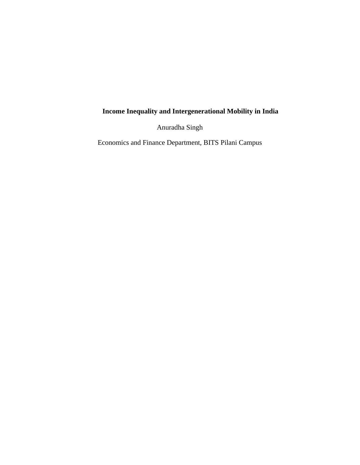# **Income Inequality and Intergenerational Mobility in India**

Anuradha Singh

Economics and Finance Department, BITS Pilani Campus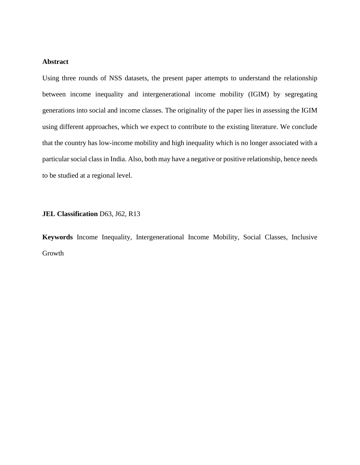# **Abstract**

Using three rounds of NSS datasets, the present paper attempts to understand the relationship between income inequality and intergenerational income mobility (IGIM) by segregating generations into social and income classes. The originality of the paper lies in assessing the IGIM using different approaches, which we expect to contribute to the existing literature. We conclude that the country has low-income mobility and high inequality which is no longer associated with a particular social class in India. Also, both may have a negative or positive relationship, hence needs to be studied at a regional level.

# **JEL Classification** D63, J62, R13

**Keywords** Income Inequality, Intergenerational Income Mobility, Social Classes, Inclusive Growth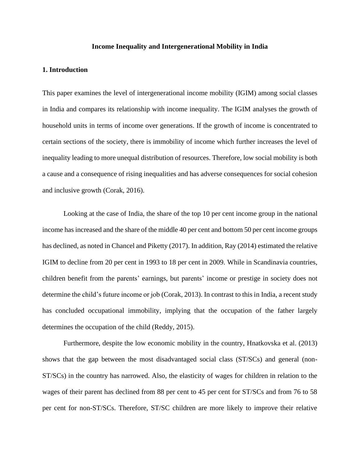## **Income Inequality and Intergenerational Mobility in India**

#### **1. Introduction**

This paper examines the level of intergenerational income mobility (IGIM) among social classes in India and compares its relationship with income inequality. The IGIM analyses the growth of household units in terms of income over generations. If the growth of income is concentrated to certain sections of the society, there is immobility of income which further increases the level of inequality leading to more unequal distribution of resources. Therefore, low social mobility is both a cause and a consequence of rising inequalities and has adverse consequences for social cohesion and inclusive growth (Corak, 2016).

Looking at the case of India, the share of the top 10 per cent income group in the national income has increased and the share of the middle 40 per cent and bottom 50 per cent income groups has declined, as noted in Chancel and Piketty (2017). In addition, Ray (2014) estimated the relative IGIM to decline from 20 per cent in 1993 to 18 per cent in 2009. While in Scandinavia countries, children benefit from the parents' earnings, but parents' income or prestige in society does not determine the child's future income or job (Corak, 2013). In contrast to this in India, a recent study has concluded occupational immobility, implying that the occupation of the father largely determines the occupation of the child (Reddy, 2015).

Furthermore, despite the low economic mobility in the country, Hnatkovska et al. (2013) shows that the gap between the most disadvantaged social class (ST/SCs) and general (non-ST/SCs) in the country has narrowed. Also, the elasticity of wages for children in relation to the wages of their parent has declined from 88 per cent to 45 per cent for ST/SCs and from 76 to 58 per cent for non-ST/SCs. Therefore, ST/SC children are more likely to improve their relative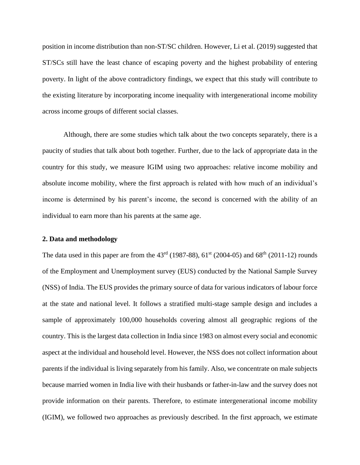position in income distribution than non-ST/SC children. However, Li et al. (2019) suggested that ST/SCs still have the least chance of escaping poverty and the highest probability of entering poverty. In light of the above contradictory findings, we expect that this study will contribute to the existing literature by incorporating income inequality with intergenerational income mobility across income groups of different social classes.

Although, there are some studies which talk about the two concepts separately, there is a paucity of studies that talk about both together. Further, due to the lack of appropriate data in the country for this study, we measure IGIM using two approaches: relative income mobility and absolute income mobility, where the first approach is related with how much of an individual's income is determined by his parent's income, the second is concerned with the ability of an individual to earn more than his parents at the same age.

## **2. Data and methodology**

The data used in this paper are from the  $43^{\text{rd}}$  (1987-88), 61<sup>st</sup> (2004-05) and 68<sup>th</sup> (2011-12) rounds of the Employment and Unemployment survey (EUS) conducted by the National Sample Survey (NSS) of India. The EUS provides the primary source of data for various indicators of labour force at the state and national level. It follows a stratified multi-stage sample design and includes a sample of approximately 100,000 households covering almost all geographic regions of the country. This is the largest data collection in India since 1983 on almost every social and economic aspect at the individual and household level. However, the NSS does not collect information about parents if the individual is living separately from his family. Also, we concentrate on male subjects because married women in India live with their husbands or father-in-law and the survey does not provide information on their parents. Therefore, to estimate intergenerational income mobility (IGIM), we followed two approaches as previously described. In the first approach, we estimate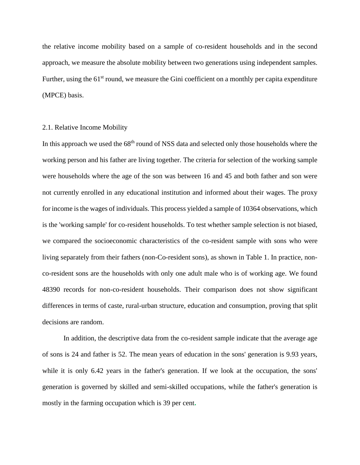the relative income mobility based on a sample of co-resident households and in the second approach, we measure the absolute mobility between two generations using independent samples. Further, using the  $61<sup>st</sup>$  round, we measure the Gini coefficient on a monthly per capita expenditure (MPCE) basis.

## 2.1. Relative Income Mobility

In this approach we used the 68<sup>th</sup> round of NSS data and selected only those households where the working person and his father are living together. The criteria for selection of the working sample were households where the age of the son was between 16 and 45 and both father and son were not currently enrolled in any educational institution and informed about their wages. The proxy for income is the wages of individuals. This process yielded a sample of 10364 observations, which is the 'working sample' for co-resident households. To test whether sample selection is not biased, we compared the socioeconomic characteristics of the co-resident sample with sons who were living separately from their fathers (non-Co-resident sons), as shown in Table 1. In practice, nonco-resident sons are the households with only one adult male who is of working age. We found 48390 records for non-co-resident households. Their comparison does not show significant differences in terms of caste, rural-urban structure, education and consumption, proving that split decisions are random.

In addition, the descriptive data from the co-resident sample indicate that the average age of sons is 24 and father is 52. The mean years of education in the sons' generation is 9.93 years, while it is only 6.42 years in the father's generation. If we look at the occupation, the sons' generation is governed by skilled and semi-skilled occupations, while the father's generation is mostly in the farming occupation which is 39 per cent**.**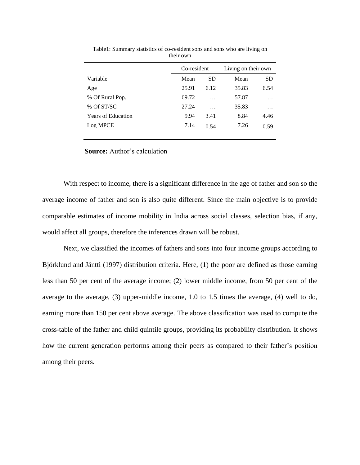|                           |       | Co-resident |       | Living on their own |  |  |
|---------------------------|-------|-------------|-------|---------------------|--|--|
| Variable                  | Mean  | <b>SD</b>   | Mean  | <b>SD</b>           |  |  |
| Age                       | 25.91 | 6.12        | 35.83 | 6.54                |  |  |
| % Of Rural Pop.           | 69.72 | .           | 57.87 | $\cdots$            |  |  |
| % Of ST/SC                | 27.24 | $\ddotsc$   | 35.83 | .                   |  |  |
| <b>Years of Education</b> | 9.94  | 3.41        | 8.84  | 4.46                |  |  |
| Log MPCE                  | 7.14  | 0.54        | 7.26  | 0.59                |  |  |
|                           |       |             |       |                     |  |  |

Table1: Summary statistics of co-resident sons and sons who are living on their own

**Source:** Author's calculation

With respect to income, there is a significant difference in the age of father and son so the average income of father and son is also quite different. Since the main objective is to provide comparable estimates of income mobility in India across social classes, selection bias, if any, would affect all groups, therefore the inferences drawn will be robust.

Next, we classified the incomes of fathers and sons into four income groups according to Björklund and Jäntti (1997) distribution criteria. Here, (1) the poor are defined as those earning less than 50 per cent of the average income; (2) lower middle income, from 50 per cent of the average to the average, (3) upper-middle income, 1.0 to 1.5 times the average, (4) well to do, earning more than 150 per cent above average. The above classification was used to compute the cross-table of the father and child quintile groups, providing its probability distribution. It shows how the current generation performs among their peers as compared to their father's position among their peers.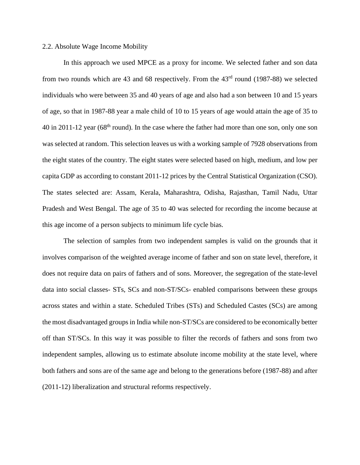# 2.2. Absolute Wage Income Mobility

In this approach we used MPCE as a proxy for income. We selected father and son data from two rounds which are 43 and 68 respectively. From the  $43<sup>rd</sup>$  round (1987-88) we selected individuals who were between 35 and 40 years of age and also had a son between 10 and 15 years of age, so that in 1987-88 year a male child of 10 to 15 years of age would attain the age of 35 to 40 in 2011-12 year (68<sup>th</sup> round). In the case where the father had more than one son, only one son was selected at random. This selection leaves us with a working sample of 7928 observations from the eight states of the country. The eight states were selected based on high, medium, and low per capita GDP as according to constant 2011-12 prices by the Central Statistical Organization (CSO). The states selected are: Assam, Kerala, Maharashtra, Odisha, Rajasthan, Tamil Nadu, Uttar Pradesh and West Bengal. The age of 35 to 40 was selected for recording the income because at this age income of a person subjects to minimum life cycle bias.

The selection of samples from two independent samples is valid on the grounds that it involves comparison of the weighted average income of father and son on state level, therefore, it does not require data on pairs of fathers and of sons. Moreover, the segregation of the state-level data into social classes- STs, SCs and non-ST/SCs- enabled comparisons between these groups across states and within a state. Scheduled Tribes (STs) and Scheduled Castes (SCs) are among the most disadvantaged groups in India while non-ST/SCs are considered to be economically better off than ST/SCs. In this way it was possible to filter the records of fathers and sons from two independent samples, allowing us to estimate absolute income mobility at the state level, where both fathers and sons are of the same age and belong to the generations before (1987-88) and after (2011-12) liberalization and structural reforms respectively.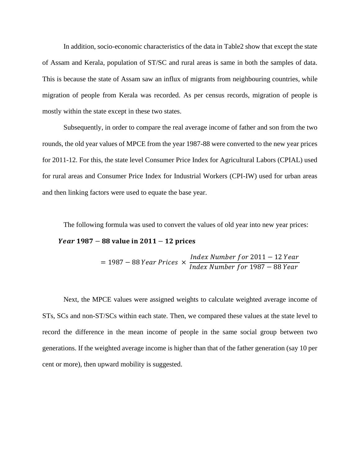In addition, socio-economic characteristics of the data in Table2 show that except the state of Assam and Kerala, population of ST/SC and rural areas is same in both the samples of data. This is because the state of Assam saw an influx of migrants from neighbouring countries, while migration of people from Kerala was recorded. As per census records, migration of people is mostly within the state except in these two states.

Subsequently, in order to compare the real average income of father and son from the two rounds, the old year values of MPCE from the year 1987-88 were converted to the new year prices for 2011-12. For this, the state level Consumer Price Index for Agricultural Labors (CPIAL) used for rural areas and Consumer Price Index for Industrial Workers (CPI-IW) used for urban areas and then linking factors were used to equate the base year.

The following formula was used to convert the values of old year into new year prices:

## *Year*  $1987 - 88$  value in  $2011 - 12$  prices

 $= 1987 - 88$  Year Prices  $\times$ Index Number for 2011 − 12 Year Index Number for 1987 − 88 Year

Next, the MPCE values were assigned weights to calculate weighted average income of STs, SCs and non-ST/SCs within each state. Then, we compared these values at the state level to record the difference in the mean income of people in the same social group between two generations. If the weighted average income is higher than that of the father generation (say 10 per cent or more), then upward mobility is suggested.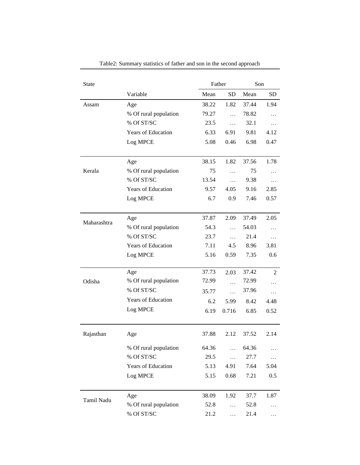| <b>State</b> |                           |       | Father<br>Son |       |           |
|--------------|---------------------------|-------|---------------|-------|-----------|
|              | Variable                  | Mean  | <b>SD</b>     | Mean  | <b>SD</b> |
| Assam        | Age                       | 38.22 | 1.82          | 37.44 | 1.94      |
|              | % Of rural population     | 79.27 | $\ddotsc$     | 78.82 | .         |
|              | % Of ST/SC                | 23.5  | $\cdots$      | 32.1  | .         |
|              | <b>Years of Education</b> | 6.33  | 6.91          | 9.81  | 4.12      |
|              | Log MPCE                  | 5.08  | 0.46          | 6.98  | 0.47      |
|              |                           |       |               |       |           |
|              | Age                       | 38.15 | 1.82          | 37.56 | 1.78      |
| Kerala       | % Of rural population     | 75    | .             | 75    | $\cdots$  |
|              | % Of ST/SC                | 13.54 | $\ddotsc$     | 9.38  | .         |
|              | <b>Years of Education</b> | 9.57  | 4.05          | 9.16  | 2.85      |
|              | Log MPCE                  | 6.7   | 0.9           | 7.46  | 0.57      |
|              |                           |       |               |       |           |
|              | Age                       | 37.87 | 2.09          | 37.49 | 2.05      |
| Maharashtra  | % Of rural population     | 54.3  | $\cdots$      | 54.03 | $\cdots$  |
|              | % Of ST/SC                | 23.7  | $\cdots$      | 21.4  | .         |
|              | <b>Years of Education</b> | 7.11  | 4.5           | 8.96  | 3.81      |
|              | Log MPCE                  | 5.16  | 0.59          | 7.35  | 0.6       |
|              | Age                       | 37.73 | 2.03          | 37.42 | 2         |
| Odisha       | % Of rural population     | 72.99 | $\cdots$      | 72.99 |           |
|              | % Of ST/SC                | 35.77 | $\cdots$      | 37.96 | $\cdots$  |
|              | Years of Education        | 6.2   | 5.99          | 8.42  | 4.48      |
|              | Log MPCE                  | 6.19  | 0.716         | 6.85  | 0.52      |
|              |                           |       |               |       |           |
| Rajasthan    | Age                       | 37.88 | 2.12          | 37.52 | 2.14      |
|              | % Of rural population     | 64.36 | $\ddotsc$     | 64.36 |           |
|              | % Of ST/SC                | 29.5  | .             | 27.7  | .         |
|              | Years of Education        | 5.13  | 4.91          | 7.64  | 5.04      |
|              | Log MPCE                  | 5.15  | 0.68          | 7.21  | 0.5       |
|              |                           |       |               |       |           |
| Tamil Nadu   | Age                       | 38.09 | 1.92          | 37.7  | 1.87      |
|              | % Of rural population     | 52.8  | .             | 52.8  |           |
|              | $\%$ Of ST/SC             | 21.2  |               | 21.4  |           |

Table2: Summary statistics of father and son in the second approach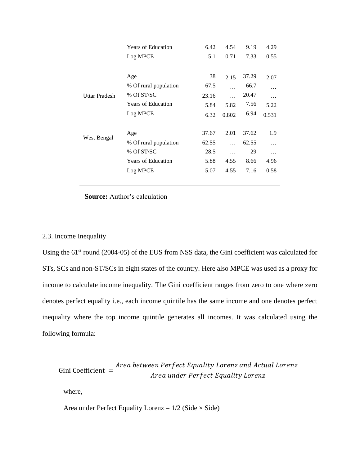|                      | <b>Years of Education</b> | 6.42  | 4.54     | 9.19  | 4.29     |
|----------------------|---------------------------|-------|----------|-------|----------|
|                      | Log MPCE                  | 5.1   | 0.71     | 7.33  | 0.55     |
|                      |                           |       |          |       |          |
| <b>Uttar Pradesh</b> | Age                       | 38    | 2.15     | 37.29 | 2.07     |
|                      | % Of rural population     | 67.5  | .        | 66.7  | .        |
|                      | % Of ST/SC                | 23.16 | $\cdots$ | 20.47 | $\cdots$ |
|                      | <b>Years of Education</b> | 5.84  | 5.82     | 7.56  | 5.22     |
|                      | Log MPCE                  | 6.32  | 0.802    | 6.94  | 0.531    |
|                      |                           |       |          |       |          |
| West Bengal          | Age                       | 37.67 | 2.01     | 37.62 | 1.9      |
|                      | % Of rural population     | 62.55 | $\cdots$ | 62.55 | .        |
|                      | % Of ST/SC                | 28.5  | .        | 29    | $\cdots$ |
|                      | <b>Years of Education</b> | 5.88  | 4.55     | 8.66  | 4.96     |
|                      | Log MPCE                  | 5.07  | 4.55     | 7.16  | 0.58     |

#### **Source:** Author's calculation

# 2.3. Income Inequality

Using the  $61<sup>st</sup>$  round (2004-05) of the EUS from NSS data, the Gini coefficient was calculated for STs, SCs and non-ST/SCs in eight states of the country. Here also MPCE was used as a proxy for income to calculate income inequality. The Gini coefficient ranges from zero to one where zero denotes perfect equality i.e., each income quintile has the same income and one denotes perfect inequality where the top income quintile generates all incomes. It was calculated using the following formula:

Gini Coefficient = Area between Perfect Equality Lorenz and Actual Lorenz Area under Perfect Equality Lorenz

where,

Area under Perfect Equality Lorenz =  $1/2$  (Side  $\times$  Side)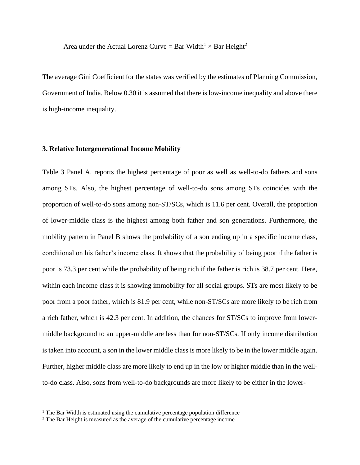Area under the Actual Lorenz Curve = Bar Width<sup>1</sup>  $\times$  Bar Height<sup>2</sup>

The average Gini Coefficient for the states was verified by the estimates of Planning Commission, Government of India. Below 0.30 it is assumed that there is low-income inequality and above there is high-income inequality.

#### **3. Relative Intergenerational Income Mobility**

Table 3 Panel A. reports the highest percentage of poor as well as well-to-do fathers and sons among STs. Also, the highest percentage of well-to-do sons among STs coincides with the proportion of well-to-do sons among non-ST/SCs, which is 11.6 per cent. Overall, the proportion of lower-middle class is the highest among both father and son generations. Furthermore, the mobility pattern in Panel B shows the probability of a son ending up in a specific income class, conditional on his father's income class. It shows that the probability of being poor if the father is poor is 73.3 per cent while the probability of being rich if the father is rich is 38.7 per cent. Here, within each income class it is showing immobility for all social groups. STs are most likely to be poor from a poor father, which is 81.9 per cent, while non-ST/SCs are more likely to be rich from a rich father, which is 42.3 per cent. In addition, the chances for ST/SCs to improve from lowermiddle background to an upper-middle are less than for non-ST/SCs. If only income distribution is taken into account, a son in the lower middle class is more likely to be in the lower middle again. Further, higher middle class are more likely to end up in the low or higher middle than in the wellto-do class. Also, sons from well-to-do backgrounds are more likely to be either in the lower-

 $1$  The Bar Width is estimated using the cumulative percentage population difference

<sup>2</sup> The Bar Height is measured as the average of the cumulative percentage income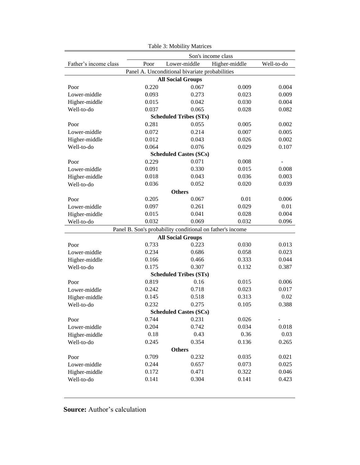| Son's income class                             |       |                                                           |                |       |  |  |  |
|------------------------------------------------|-------|-----------------------------------------------------------|----------------|-------|--|--|--|
| Father's income class                          | Poor  | Lower-middle<br>Well-to-do<br>Higher-middle               |                |       |  |  |  |
|                                                |       | Panel A. Unconditional bivariate probabilities            |                |       |  |  |  |
|                                                |       | <b>All Social Groups</b>                                  |                |       |  |  |  |
| Poor                                           | 0.220 | 0.067                                                     | 0.009          | 0.004 |  |  |  |
| Lower-middle                                   | 0.093 | 0.273                                                     | 0.023          | 0.009 |  |  |  |
| Higher-middle                                  | 0.015 | 0.042                                                     | 0.030          | 0.004 |  |  |  |
| Well-to-do                                     | 0.037 | 0.065                                                     | 0.028          | 0.082 |  |  |  |
| <b>Scheduled Tribes (STs)</b>                  |       |                                                           |                |       |  |  |  |
| Poor                                           | 0.281 | 0.055                                                     | 0.005          | 0.002 |  |  |  |
| Lower-middle                                   | 0.072 | 0.214                                                     | 0.007          | 0.005 |  |  |  |
| Higher-middle                                  | 0.012 | 0.043                                                     | 0.026          | 0.002 |  |  |  |
| Well-to-do                                     | 0.064 | 0.076                                                     | 0.029          | 0.107 |  |  |  |
|                                                |       | <b>Scheduled Castes (SCs)</b>                             |                |       |  |  |  |
| Poor                                           | 0.229 | 0.071                                                     | 0.008          |       |  |  |  |
| Lower-middle                                   | 0.091 | 0.330                                                     | 0.015          | 0.008 |  |  |  |
| Higher-middle                                  | 0.018 | 0.043                                                     | 0.036          | 0.003 |  |  |  |
| Well-to-do                                     | 0.036 | 0.052                                                     | 0.020          | 0.039 |  |  |  |
|                                                |       | <b>Others</b>                                             |                |       |  |  |  |
| Poor                                           | 0.205 | 0.067                                                     | 0.01           | 0.006 |  |  |  |
| Lower-middle                                   | 0.097 | 0.261                                                     | 0.029          | 0.01  |  |  |  |
| Higher-middle                                  | 0.015 | 0.041                                                     | 0.028          | 0.004 |  |  |  |
| Well-to-do                                     | 0.032 | 0.069                                                     | 0.032          | 0.096 |  |  |  |
|                                                |       | Panel B. Son's probability conditional on father's income |                |       |  |  |  |
|                                                |       | <b>All Social Groups</b>                                  |                |       |  |  |  |
| Poor                                           | 0.733 | 0.223                                                     | 0.030          | 0.013 |  |  |  |
| Lower-middle                                   | 0.234 | 0.686                                                     | 0.058          | 0.023 |  |  |  |
| Higher-middle                                  | 0.166 | 0.466                                                     | 0.333          | 0.044 |  |  |  |
| Well-to-do                                     | 0.175 | 0.307                                                     | 0.132          | 0.387 |  |  |  |
|                                                |       | <b>Scheduled Tribes (STs)</b>                             |                |       |  |  |  |
| Poor                                           | 0.819 | 0.16                                                      | 0.015          | 0.006 |  |  |  |
| Lower-middle                                   | 0.242 | 0.718                                                     | 0.023          | 0.017 |  |  |  |
| Higher-middle                                  | 0.145 | 0.518                                                     | 0.313          | 0.02  |  |  |  |
| Well-to-do                                     | 0.232 | 0.275                                                     | 0.105          | 0.388 |  |  |  |
| <b>Scheduled Castes (SCs)</b>                  |       |                                                           |                |       |  |  |  |
| Poor                                           | 0.744 | 0.231                                                     | 0.026          |       |  |  |  |
| Lower-middle                                   | 0.204 | 0.742                                                     | 0.034          | 0.018 |  |  |  |
| Higher-middle                                  | 0.18  | 0.43                                                      | 0.36           | 0.03  |  |  |  |
| 0.245<br>0.354<br>Well-to-do<br>0.136<br>0.265 |       |                                                           |                |       |  |  |  |
|                                                | 0.709 | <b>Others</b><br>0.232                                    |                | 0.021 |  |  |  |
| Poor<br>Lower-middle                           | 0.244 | 0.657                                                     | 0.035<br>0.073 | 0.025 |  |  |  |
| Higher-middle                                  | 0.172 | 0.471                                                     | 0.322          | 0.046 |  |  |  |
| Well-to-do                                     | 0.141 | 0.304                                                     | 0.141          | 0.423 |  |  |  |
|                                                |       |                                                           |                |       |  |  |  |

Table 3: Mobility Matrices

**Source:** Author's calculation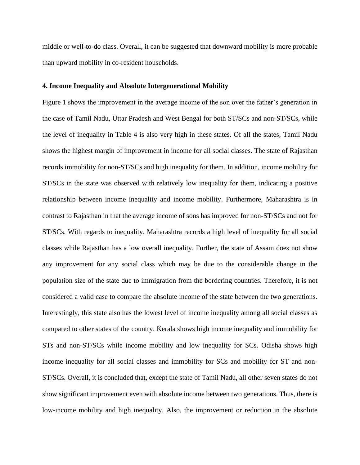middle or well-to-do class. Overall, it can be suggested that downward mobility is more probable than upward mobility in co-resident households.

#### **4. Income Inequality and Absolute Intergenerational Mobility**

Figure 1 shows the improvement in the average income of the son over the father's generation in the case of Tamil Nadu, Uttar Pradesh and West Bengal for both ST/SCs and non-ST/SCs, while the level of inequality in Table 4 is also very high in these states. Of all the states, Tamil Nadu shows the highest margin of improvement in income for all social classes. The state of Rajasthan records immobility for non-ST/SCs and high inequality for them. In addition, income mobility for ST/SCs in the state was observed with relatively low inequality for them, indicating a positive relationship between income inequality and income mobility. Furthermore, Maharashtra is in contrast to Rajasthan in that the average income of sons has improved for non-ST/SCs and not for ST/SCs. With regards to inequality, Maharashtra records a high level of inequality for all social classes while Rajasthan has a low overall inequality. Further, the state of Assam does not show any improvement for any social class which may be due to the considerable change in the population size of the state due to immigration from the bordering countries. Therefore, it is not considered a valid case to compare the absolute income of the state between the two generations. Interestingly, this state also has the lowest level of income inequality among all social classes as compared to other states of the country. Kerala shows high income inequality and immobility for STs and non-ST/SCs while income mobility and low inequality for SCs. Odisha shows high income inequality for all social classes and immobility for SCs and mobility for ST and non-ST/SCs. Overall, it is concluded that, except the state of Tamil Nadu, all other seven states do not show significant improvement even with absolute income between two generations. Thus, there is low-income mobility and high inequality. Also, the improvement or reduction in the absolute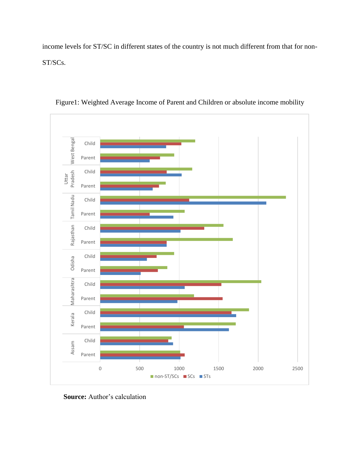income levels for ST/SC in different states of the country is not much different from that for non-ST/SCs.





**Source:** Author's calculation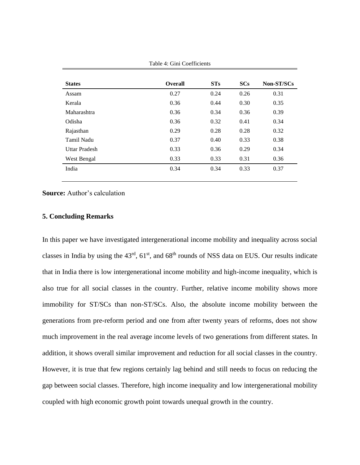| <b>States</b>        | <b>Overall</b> | STs  | SCs  | Non-ST/SCs |
|----------------------|----------------|------|------|------------|
| Assam                | 0.27           | 0.24 | 0.26 | 0.31       |
| Kerala               | 0.36           | 0.44 | 0.30 | 0.35       |
| Maharashtra          | 0.36           | 0.34 | 0.36 | 0.39       |
| Odisha               | 0.36           | 0.32 | 0.41 | 0.34       |
| Rajasthan            | 0.29           | 0.28 | 0.28 | 0.32       |
| Tamil Nadu           | 0.37           | 0.40 | 0.33 | 0.38       |
| <b>Uttar Pradesh</b> | 0.33           | 0.36 | 0.29 | 0.34       |
| West Bengal          | 0.33           | 0.33 | 0.31 | 0.36       |
| India                | 0.34           | 0.34 | 0.33 | 0.37       |
|                      |                |      |      |            |

Table 4: Gini Coefficients

**Source:** Author's calculation

## **5. Concluding Remarks**

In this paper we have investigated intergenerational income mobility and inequality across social classes in India by using the  $43<sup>rd</sup>$ ,  $61<sup>st</sup>$ , and  $68<sup>th</sup>$  rounds of NSS data on EUS. Our results indicate that in India there is low intergenerational income mobility and high-income inequality, which is also true for all social classes in the country. Further, relative income mobility shows more immobility for ST/SCs than non-ST/SCs. Also, the absolute income mobility between the generations from pre-reform period and one from after twenty years of reforms, does not show much improvement in the real average income levels of two generations from different states. In addition, it shows overall similar improvement and reduction for all social classes in the country. However, it is true that few regions certainly lag behind and still needs to focus on reducing the gap between social classes. Therefore, high income inequality and low intergenerational mobility coupled with high economic growth point towards unequal growth in the country.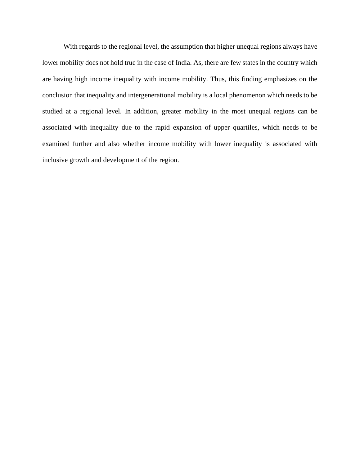With regards to the regional level, the assumption that higher unequal regions always have lower mobility does not hold true in the case of India. As, there are few states in the country which are having high income inequality with income mobility. Thus, this finding emphasizes on the conclusion that inequality and intergenerational mobility is a local phenomenon which needs to be studied at a regional level. In addition, greater mobility in the most unequal regions can be associated with inequality due to the rapid expansion of upper quartiles, which needs to be examined further and also whether income mobility with lower inequality is associated with inclusive growth and development of the region.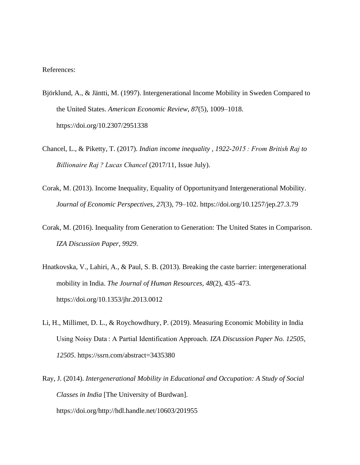#### References:

- Björklund, A., & Jäntti, M. (1997). Intergenerational Income Mobility in Sweden Compared to the United States. *American Economic Review*, *87*(5), 1009–1018. https://doi.org/10.2307/2951338
- Chancel, L., & Piketty, T. (2017). *Indian income inequality , 1922-2015 : From British Raj to Billionaire Raj ? Lucas Chancel* (2017/11, Issue July).
- Corak, M. (2013). Income Inequality, Equality of Opportunityand Intergenerational Mobility. *Journal of Economic Perspectives*, *27*(3), 79–102. https://doi.org/10.1257/jep.27.3.79
- Corak, M. (2016). Inequality from Generation to Generation: The United States in Comparison. *IZA Discussion Paper*, *9929*.
- Hnatkovska, V., Lahiri, A., & Paul, S. B. (2013). Breaking the caste barrier: intergenerational mobility in India. *The Journal of Human Resources*, *48*(2), 435–473. https://doi.org/10.1353/jhr.2013.0012
- Li, H., Millimet, D. L., & Roychowdhury, P. (2019). Measuring Economic Mobility in India Using Noisy Data : A Partial Identification Approach. *IZA Discussion Paper No. 12505*, *12505*. https://ssrn.com/abstract=3435380
- Ray, J. (2014). *Intergenerational Mobility in Educational and Occupation: A Study of Social Classes in India* [The University of Burdwan]. https://doi.org/http://hdl.handle.net/10603/201955